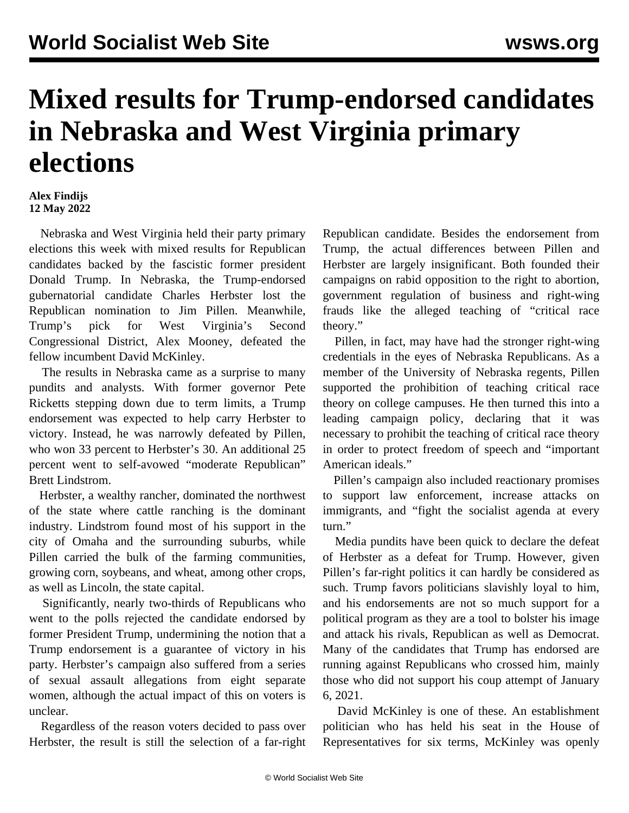## **Mixed results for Trump-endorsed candidates in Nebraska and West Virginia primary elections**

## **Alex Findijs 12 May 2022**

 Nebraska and West Virginia held their party primary elections this week with mixed results for Republican candidates backed by the fascistic former president Donald Trump. In Nebraska, the Trump-endorsed gubernatorial candidate Charles Herbster lost the Republican nomination to Jim Pillen. Meanwhile, Trump's pick for West Virginia's Second Congressional District, Alex Mooney, defeated the fellow incumbent David McKinley.

 The results in Nebraska came as a surprise to many pundits and analysts. With former governor Pete Ricketts stepping down due to term limits, a Trump endorsement was expected to help carry Herbster to victory. Instead, he was narrowly defeated by Pillen, who won 33 percent to Herbster's 30. An additional 25 percent went to self-avowed "moderate Republican" Brett Lindstrom.

 Herbster, a wealthy rancher, dominated the northwest of the state where cattle ranching is the dominant industry. Lindstrom found most of his support in the city of Omaha and the surrounding suburbs, while Pillen carried the bulk of the farming communities, growing corn, soybeans, and wheat, among other crops, as well as Lincoln, the state capital.

 Significantly, nearly two-thirds of Republicans who went to the polls rejected the candidate endorsed by former President Trump, undermining the notion that a Trump endorsement is a guarantee of victory in his party. Herbster's campaign also suffered from a series of sexual assault allegations from eight separate women, although the actual impact of this on voters is unclear.

 Regardless of the reason voters decided to pass over Herbster, the result is still the selection of a far-right Republican candidate. Besides the endorsement from Trump, the actual differences between Pillen and Herbster are largely insignificant. Both founded their campaigns on rabid opposition to the right to abortion, government regulation of business and right-wing frauds like the alleged teaching of "critical race theory."

 Pillen, in fact, may have had the stronger right-wing credentials in the eyes of Nebraska Republicans. As a member of the University of Nebraska regents, Pillen supported the prohibition of teaching critical race theory on college campuses. He then turned this into a leading campaign policy, declaring that it was necessary to prohibit the teaching of critical race theory in order to protect freedom of speech and "important American ideals."

 Pillen's campaign also included reactionary promises to support law enforcement, increase attacks on immigrants, and "fight the socialist agenda at every turn."

 Media pundits have been quick to declare the defeat of Herbster as a defeat for Trump. However, given Pillen's far-right politics it can hardly be considered as such. Trump favors politicians slavishly loyal to him, and his endorsements are not so much support for a political program as they are a tool to bolster his image and attack his rivals, Republican as well as Democrat. Many of the candidates that Trump has endorsed are running against Republicans who crossed him, mainly those who did not support his coup attempt of January 6, 2021.

 David McKinley is one of these. An establishment politician who has held his seat in the House of Representatives for six terms, McKinley was openly